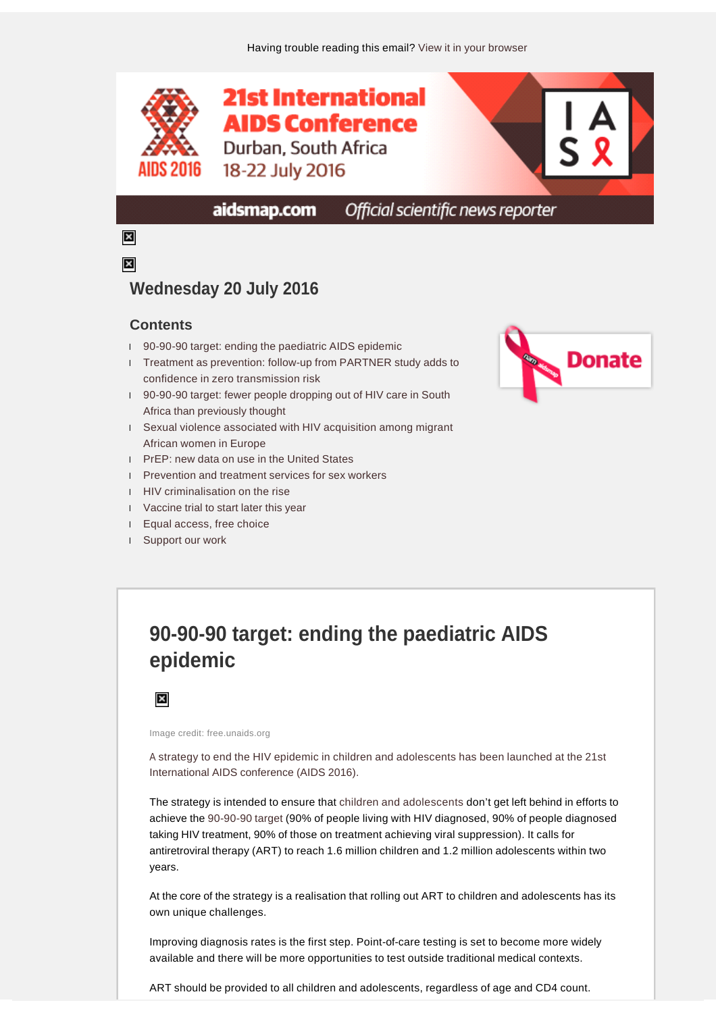

Official scientific news reporter aidsmap.com

 $\boldsymbol{\times}$  $\overline{\mathbf{x}}$ 

### **Wednesday 20 July 2016**

#### **Contents**

- l [90-90-90 target: ending the paediatric AIDS epidemic](file:///C:/Users/aidsmap/AppData/Local/Temp/ABCpdf/8eb655c7-eace-47af-a15a-d11b2506d068.html#item3072599)
- l [Treatment as prevention: follow-up from PARTNER study adds to](file:///C:/Users/aidsmap/AppData/Local/Temp/ABCpdf/8eb655c7-eace-47af-a15a-d11b2506d068.html#item3072601)  [confidence in zero transmission risk](file:///C:/Users/aidsmap/AppData/Local/Temp/ABCpdf/8eb655c7-eace-47af-a15a-d11b2506d068.html#item3072601)
- l [90-90-90 target: fewer people dropping out of HIV care in South](file:///C:/Users/aidsmap/AppData/Local/Temp/ABCpdf/8eb655c7-eace-47af-a15a-d11b2506d068.html#item3072600)  [Africa than previously thought](file:///C:/Users/aidsmap/AppData/Local/Temp/ABCpdf/8eb655c7-eace-47af-a15a-d11b2506d068.html#item3072600)
- l [Sexual violence associated with HIV acquisition among migrant](file:///C:/Users/aidsmap/AppData/Local/Temp/ABCpdf/8eb655c7-eace-47af-a15a-d11b2506d068.html#item3072605)  [African women in Europe](file:///C:/Users/aidsmap/AppData/Local/Temp/ABCpdf/8eb655c7-eace-47af-a15a-d11b2506d068.html#item3072605)
- l [PrEP: new data on use in the United States](file:///C:/Users/aidsmap/AppData/Local/Temp/ABCpdf/8eb655c7-eace-47af-a15a-d11b2506d068.html#item3072602)
- l [Prevention and treatment services for sex workers](file:///C:/Users/aidsmap/AppData/Local/Temp/ABCpdf/8eb655c7-eace-47af-a15a-d11b2506d068.html#item3072604)
- l [HIV criminalisation on the rise](file:///C:/Users/aidsmap/AppData/Local/Temp/ABCpdf/8eb655c7-eace-47af-a15a-d11b2506d068.html#item3072598)
- l [Vaccine trial to start later this year](file:///C:/Users/aidsmap/AppData/Local/Temp/ABCpdf/8eb655c7-eace-47af-a15a-d11b2506d068.html#item3072606)
- l [Equal access, free choice](file:///C:/Users/aidsmap/AppData/Local/Temp/ABCpdf/8eb655c7-eace-47af-a15a-d11b2506d068.html#item3072603)
- l [Support our work](file:///C:/Users/aidsmap/AppData/Local/Temp/ABCpdf/8eb655c7-eace-47af-a15a-d11b2506d068.html#item3072597)



# **90-90-90 target: ending the paediatric AIDS epidemic**

 $\overline{\mathbf{x}}$ 

Image credit: free.unaids.org

[A strategy to end the HIV epidemic in children and adolescents has been launched at the 21st](http://www.aidsmap.com/New-strategy-aims-to-end-AIDS-in-children-by-2020/page/3072415/)  [International AIDS conference \(AIDS 2016\).](http://www.aidsmap.com/New-strategy-aims-to-end-AIDS-in-children-by-2020/page/3072415/) 

The strategy is intended to ensure that [children and adolescents](http://www.aidsmap.com/Families-and-children/cat/1482/) don't get left behind in efforts to achieve the [90-90-90 target](http://www.aidsmap.com/90-90-90) (90% of people living with HIV diagnosed, 90% of people diagnosed taking HIV treatment, 90% of those on treatment achieving viral suppression). It calls for antiretroviral therapy (ART) to reach 1.6 million children and 1.2 million adolescents within two years.

At the core of the strategy is a realisation that rolling out ART to children and adolescents has its own unique challenges.

Improving diagnosis rates is the first step. Point-of-care testing is set to become more widely available and there will be more opportunities to test outside traditional medical contexts.

ART should be provided to all children and adolescents, regardless of age and CD4 count.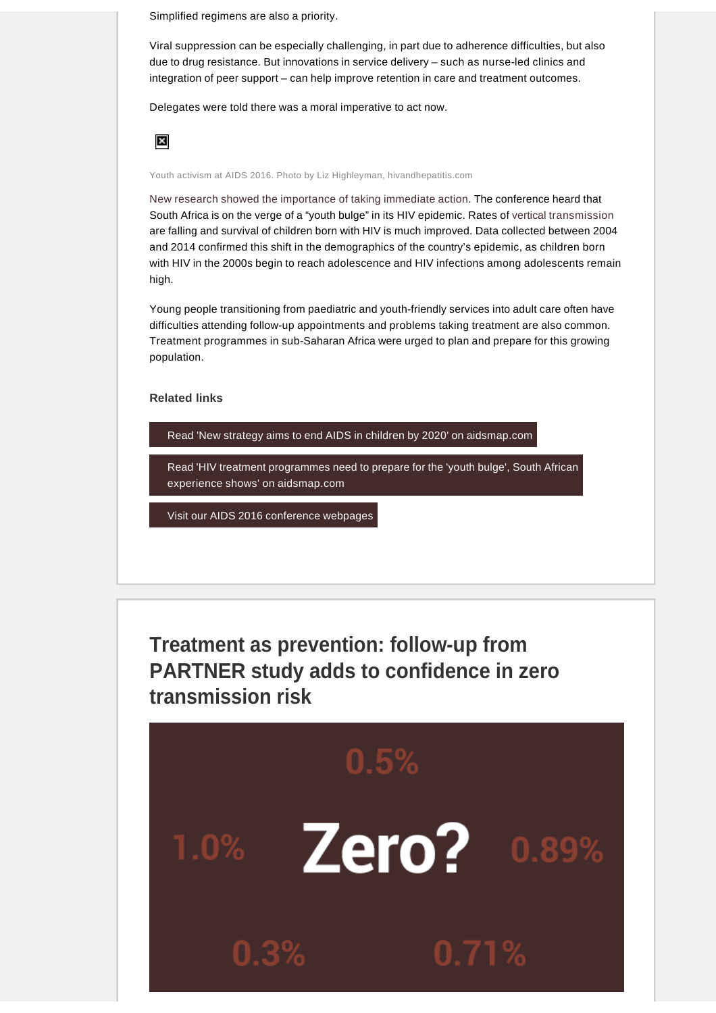Simplified regimens are also a priority.

Viral suppression can be especially challenging, in part due to adherence difficulties, but also due to drug resistance. But innovations in service delivery – such as nurse-led clinics and integration of peer support – can help improve retention in care and treatment outcomes.

Delegates were told there was a moral imperative to act now.



Youth activism at AIDS 2016. Photo by Liz Highleyman, hivandhepatitis.com

[New research showed the importance of taking immediate action](http://www.aidsmap.com/HIV-treatment-programmes-need-to-prepare-for-the-youth-bulge-South-African-experience-shows/page/3072247/). The conference heard that South Africa is on the verge of a "youth bulge" in its HIV epidemic. Rates of [vertical transmission](http://www.aidsmap.com/Prevention-of-mother-to-child-transmission/cat/1483/) are falling and survival of children born with HIV is much improved. Data collected between 2004 and 2014 confirmed this shift in the demographics of the country's epidemic, as children born with HIV in the 2000s begin to reach adolescence and HIV infections among adolescents remain high.

Young people transitioning from paediatric and youth-friendly services into adult care often have difficulties attending follow-up appointments and problems taking treatment are also common. Treatment programmes in sub-Saharan Africa were urged to plan and prepare for this growing population.

**Related links** 

[Read 'New strategy aims to end AIDS in children by 2020' on aidsmap.com](http://www.aidsmap.com/New-strategy-aims-to-end-AIDS-in-children-by-2020/page/3072415/)

[Read 'HIV treatment programmes need to prepare for the 'youth bulge', South African](http://www.aidsmap.com/HIV-treatment-programmes-need-to-prepare-for-the-youth-bulge-South-African-experience-shows/page/3072247/)  experience shows' on aidsmap.com

[Visit our AIDS 2016 conference webpages](http://www.aidsmap.com/aids2016)

**Treatment as prevention: follow-up from PARTNER study adds to confidence in zero transmission risk**

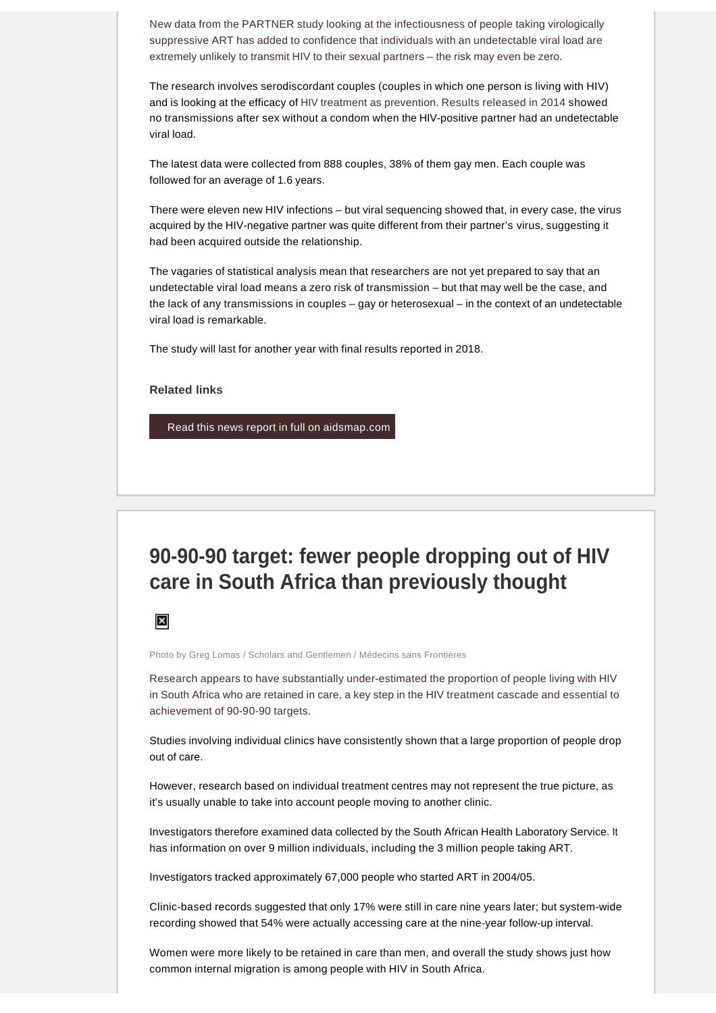[New data from the PARTNER study looking at the infectiousness of people taking virologically](http://www.aidsmap.com/More-confidence-on-zero-risk-still-no-transmissions-seen-from-people-with-an-undetectable-viral-load-in-PARTNER-study/page/3072326/)  [suppressive ART has added to confidence that individuals with an undetectable viral load are](http://www.aidsmap.com/More-confidence-on-zero-risk-still-no-transmissions-seen-from-people-with-an-undetectable-viral-load-in-PARTNER-study/page/3072326/)  [extremely unlikely to transmit HIV to their sexual partners –](http://www.aidsmap.com/More-confidence-on-zero-risk-still-no-transmissions-seen-from-people-with-an-undetectable-viral-load-in-PARTNER-study/page/3072326/) the risk may even be zero.

The research involves serodiscordant couples (couples in which one person is living with HIV) and is looking at the efficacy of [HIV treatment as prevention](http://www.aidsmap.com/Undetectable-viral-load-and-treatment-as-prevention/cat/1624/). [Results released in 2014](http://www.aidsmap.com/No-one-with-an-undetectable-viral-load-gay-or-heterosexual-transmits-HIV-in-first-two-years-of-PARTNER-study/page/2832748/) showed no transmissions after sex without a condom when the HIV-positive partner had an undetectable viral load.

The latest data were collected from 888 couples, 38% of them gay men. Each couple was followed for an average of 1.6 years.

There were eleven new HIV infections – but viral sequencing showed that, in every case, the virus acquired by the HIV-negative partner was quite different from their partner's virus, suggesting it had been acquired outside the relationship.

The vagaries of statistical analysis mean that researchers are not yet prepared to say that an undetectable viral load means a zero risk of transmission – but that may well be the case, and the lack of any transmissions in couples – gay or heterosexual – in the context of an undetectable viral load is remarkable.

The study will last for another year with final results reported in 2018.

#### **Related links**

[Read this news report in full on aidsmap.com](http://www.aidsmap.com/More-confidence-on-zero-risk-still-no-transmissions-seen-from-people-with-an-undetectable-viral-load-in-PARTNER-study/page/3072326/)

# **90-90-90 target: fewer people dropping out of HIV care in South Africa than previously thought**



Photo by Greg Lomas / Scholars and Gentlemen / Médecins sans Frontières

[Research appears to have substantially under-estimated the proportion of people living with HIV](http://www.aidsmap.com/Far-fewer-people-drop-out-of-HIV-care-in-South-Africa-than-previously-thought/page/3072435/)  [in South Africa who are retained in care, a key step in the HIV treatment cascade and essential to](http://www.aidsmap.com/Far-fewer-people-drop-out-of-HIV-care-in-South-Africa-than-previously-thought/page/3072435/)  [achievement of 90-90-90 targets.](http://www.aidsmap.com/Far-fewer-people-drop-out-of-HIV-care-in-South-Africa-than-previously-thought/page/3072435/)

Studies involving individual clinics have consistently shown that a large proportion of people drop out of care.

However, research based on individual treatment centres may not represent the true picture, as it's usually unable to take into account people moving to another clinic.

Investigators therefore examined data collected by the South African Health Laboratory Service. It has information on over 9 million individuals, including the 3 million people taking ART.

Investigators tracked approximately 67,000 people who started ART in 2004/05.

Clinic-based records suggested that only 17% were still in care nine years later; but system-wide recording showed that 54% were actually accessing care at the nine-year follow-up interval.

Women were more likely to be retained in care than men, and overall the study shows just how common internal migration is among people with HIV in South Africa.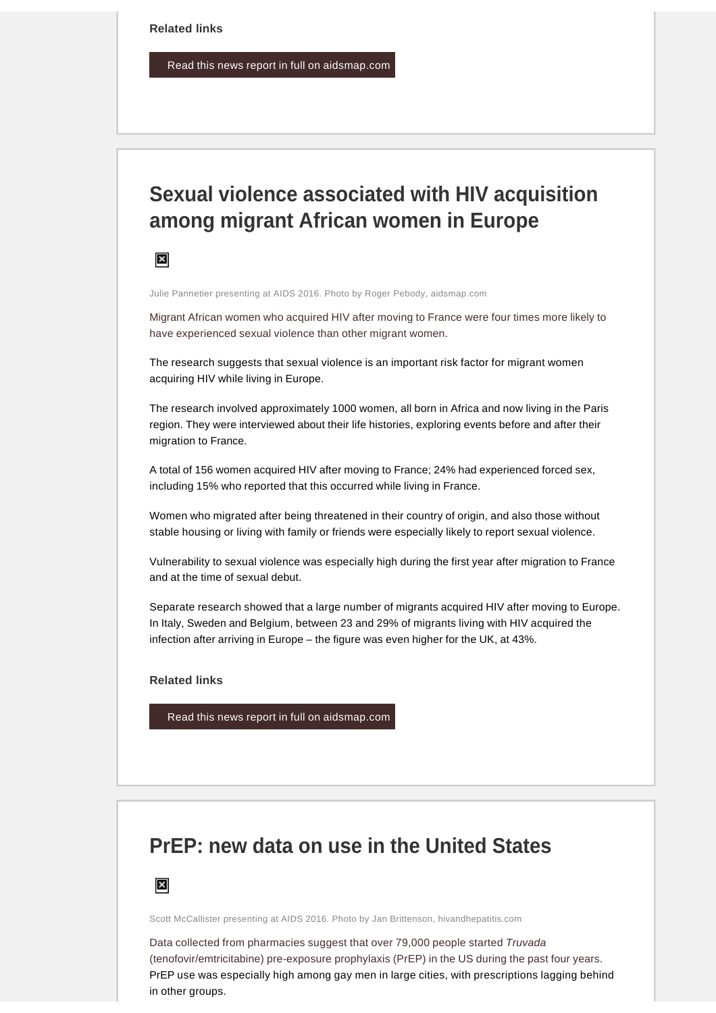[Read this news report in full on aidsmap.com](http://www.aidsmap.com/Far-fewer-people-drop-out-of-HIV-care-in-South-Africa-than-previously-thought/page/3072435/)

# **Sexual violence associated with HIV acquisition among migrant African women in Europe**



Julie Pannetier presenting at AIDS 2016. Photo by Roger Pebody, aidsmap.com

[Migrant African women who acquired HIV after moving to France were four times more likely to](http://www.aidsmap.com/Strong-association-between-sexual-violence-and-African-women-acquiring-HIV-in-Europe/page/3072108/)  [have experienced sexual violence than other migrant women.](http://www.aidsmap.com/Strong-association-between-sexual-violence-and-African-women-acquiring-HIV-in-Europe/page/3072108/)

The research suggests that sexual violence is an important risk factor for migrant women acquiring HIV while living in Europe.

The research involved approximately 1000 women, all born in Africa and now living in the Paris region. They were interviewed about their life histories, exploring events before and after their migration to France.

A total of 156 women acquired HIV after moving to France; 24% had experienced forced sex, including 15% who reported that this occurred while living in France.

Women who migrated after being threatened in their country of origin, and also those without stable housing or living with family or friends were especially likely to report sexual violence.

Vulnerability to sexual violence was especially high during the first year after migration to France and at the time of sexual debut.

Separate research showed that a large number of migrants acquired HIV after moving to Europe. In Italy, Sweden and Belgium, between 23 and 29% of migrants living with HIV acquired the infection after arriving in Europe – the figure was even higher for the UK, at 43%.

**Related links** 

[Read this news report in full on aidsmap.com](http://www.aidsmap.com/Strong-association-between-sexual-violence-and-African-women-acquiring-HIV-in-Europe/page/3072108/)

# **PrEP: new data on use in the United States**



Scott McCallister presenting at AIDS 2016. Photo by Jan Brittenson, hivandhepatitis.com

[Data collected from pharmacies suggest that over 79,000 people started](http://www.aidsmap.com/PrEP-use-exceeds-79000-in-US-pharmacy-survey-but-some-groups-lagging-behind/page/3072084/) Truvada [\(tenofovir/emtricitabine\) pre-exposure prophylaxis \(PrEP\) in the US during the past four years.](http://www.aidsmap.com/PrEP-use-exceeds-79000-in-US-pharmacy-survey-but-some-groups-lagging-behind/page/3072084/) PrEP use was especially high among gay men in large cities, with prescriptions lagging behind in other groups.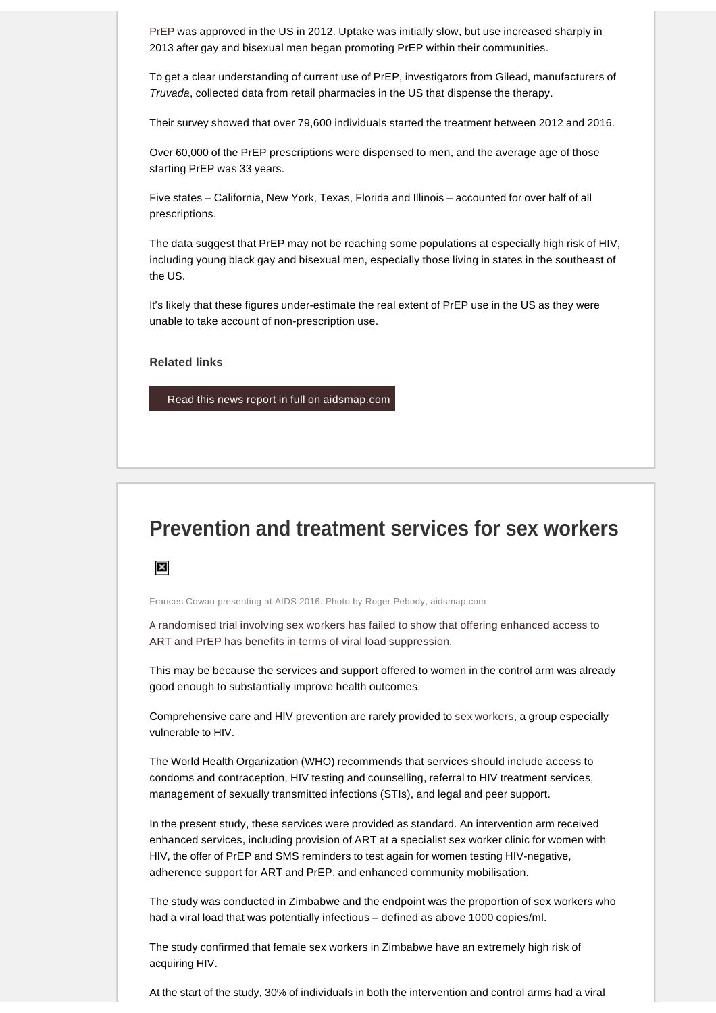[PrEP](http://www.aidsmap.com/PrEP/cat/1623/) was approved in the US in 2012. Uptake was initially slow, but use increased sharply in 2013 after gay and bisexual men began promoting PrEP within their communities.

To get a clear understanding of current use of PrEP, investigators from Gilead, manufacturers of Truvada, collected data from retail pharmacies in the US that dispense the therapy.

Their survey showed that over 79,600 individuals started the treatment between 2012 and 2016.

Over 60,000 of the PrEP prescriptions were dispensed to men, and the average age of those starting PrEP was 33 years.

Five states – California, New York, Texas, Florida and Illinois – accounted for over half of all prescriptions.

The data suggest that PrEP may not be reaching some populations at especially high risk of HIV, including young black gay and bisexual men, especially those living in states in the southeast of the US.

It's likely that these figures under-estimate the real extent of PrEP use in the US as they were unable to take account of non-prescription use.

**Related links** 

[Read this news report in full on aidsmap.com](http://www.aidsmap.com/PrEP-use-exceeds-79000-in-US-pharmacy-survey-but-some-groups-lagging-behind/page/3072084/)

#### **Prevention and treatment services for sex workers**



Frances Cowan presenting at AIDS 2016. Photo by Roger Pebody, aidsmap.com

[A randomised trial involving sex workers has failed to show that offering enhanced access to](http://www.aidsmap.com/Comprehensive-services-for-sex-workers-reduce-detectable-viral-load-but-enhanced-ARV-services-provide-no-extra-benefit/page/3072293/)  [ART and PrEP has benefits in terms of viral load suppression.](http://www.aidsmap.com/Comprehensive-services-for-sex-workers-reduce-detectable-viral-load-but-enhanced-ARV-services-provide-no-extra-benefit/page/3072293/)

This may be because the services and support offered to women in the control arm was already good enough to substantially improve health outcomes.

Comprehensive care and HIV prevention are rarely provided to [sex workers](http://www.aidsmap.com/Sex-workers/cat/1729/), a group especially vulnerable to HIV.

The World Health Organization (WHO) recommends that services should include access to condoms and contraception, HIV testing and counselling, referral to HIV treatment services, management of sexually transmitted infections (STIs), and legal and peer support.

In the present study, these services were provided as standard. An intervention arm received enhanced services, including provision of ART at a specialist sex worker clinic for women with HIV, the offer of PrEP and SMS reminders to test again for women testing HIV-negative, adherence support for ART and PrEP, and enhanced community mobilisation.

The study was conducted in Zimbabwe and the endpoint was the proportion of sex workers who had a viral load that was potentially infectious – defined as above 1000 copies/ml.

The study confirmed that female sex workers in Zimbabwe have an extremely high risk of acquiring HIV.

At the start of the study, 30% of individuals in both the intervention and control arms had a viral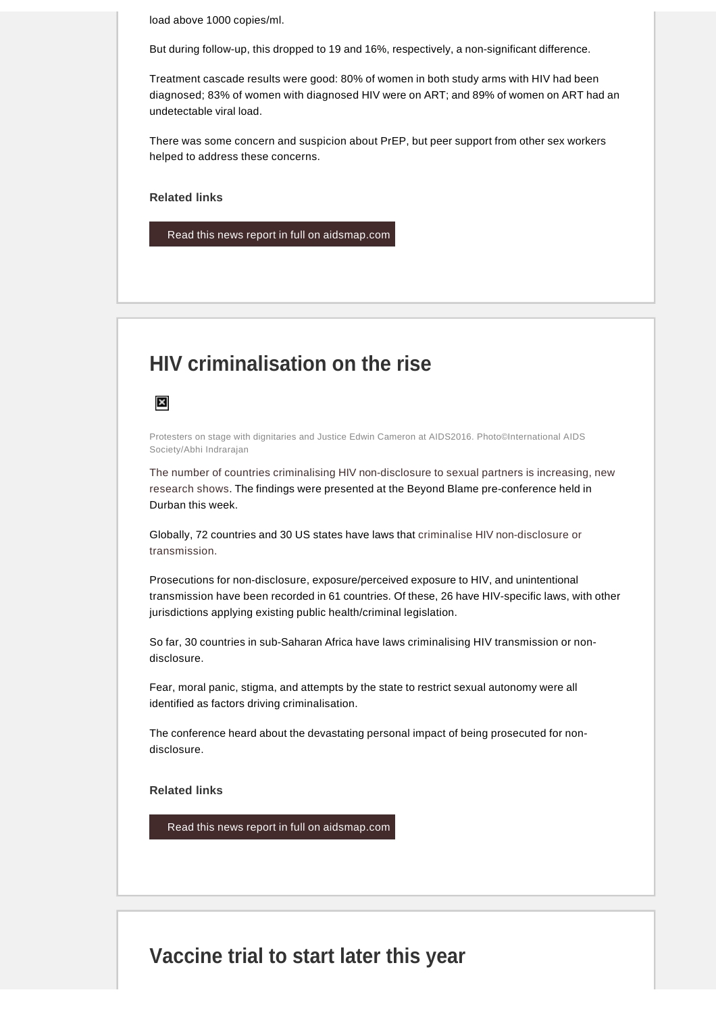load above 1000 copies/ml.

But during follow-up, this dropped to 19 and 16%, respectively, a non-significant difference.

Treatment cascade results were good: 80% of women in both study arms with HIV had been diagnosed; 83% of women with diagnosed HIV were on ART; and 89% of women on ART had an undetectable viral load.

There was some concern and suspicion about PrEP, but peer support from other sex workers helped to address these concerns.

**Related links** 

[Read this news report in full on aidsmap.com](http://www.aidsmap.com/Comprehensive-services-for-sex-workers-reduce-detectable-viral-load-but-enhanced-ARV-services-provide-no-extra-benefit/page/3072293/)

## **HIV criminalisation on the rise**

 $\boldsymbol{\times}$ 

Protesters on stage with dignitaries and Justice Edwin Cameron at AIDS2016. Photo©International AIDS Society/Abhi Indrarajan

[The number of countries criminalising HIV non-disclosure to sexual partners is increasing, new](http://www.aidsmap.com/HIV-criminalisation-on-the-rise-especially-in-sub-Saharan-Africa/page/3072484/)  [research shows](http://www.aidsmap.com/HIV-criminalisation-on-the-rise-especially-in-sub-Saharan-Africa/page/3072484/). The findings were presented at the Beyond Blame pre-conference held in Durban this week.

Globally, 72 countries and 30 US states have laws that [criminalise HIV non-disclosure or](http://www.aidsmap.com/HIV-and-criminal-law/cat/1686/)  [transmission.](http://www.aidsmap.com/HIV-and-criminal-law/cat/1686/)

Prosecutions for non-disclosure, exposure/perceived exposure to HIV, and unintentional transmission have been recorded in 61 countries. Of these, 26 have HIV-specific laws, with other jurisdictions applying existing public health/criminal legislation.

So far, 30 countries in sub-Saharan Africa have laws criminalising HIV transmission or nondisclosure.

Fear, moral panic, stigma, and attempts by the state to restrict sexual autonomy were all identified as factors driving criminalisation.

The conference heard about the devastating personal impact of being prosecuted for nondisclosure.

**Related links** 

[Read this news report in full on aidsmap.com](http://www.aidsmap.com/HIV-criminalisation-on-the-rise-especially-in-sub-Saharan-Africa/page/3072484/)

## **Vaccine trial to start later this year**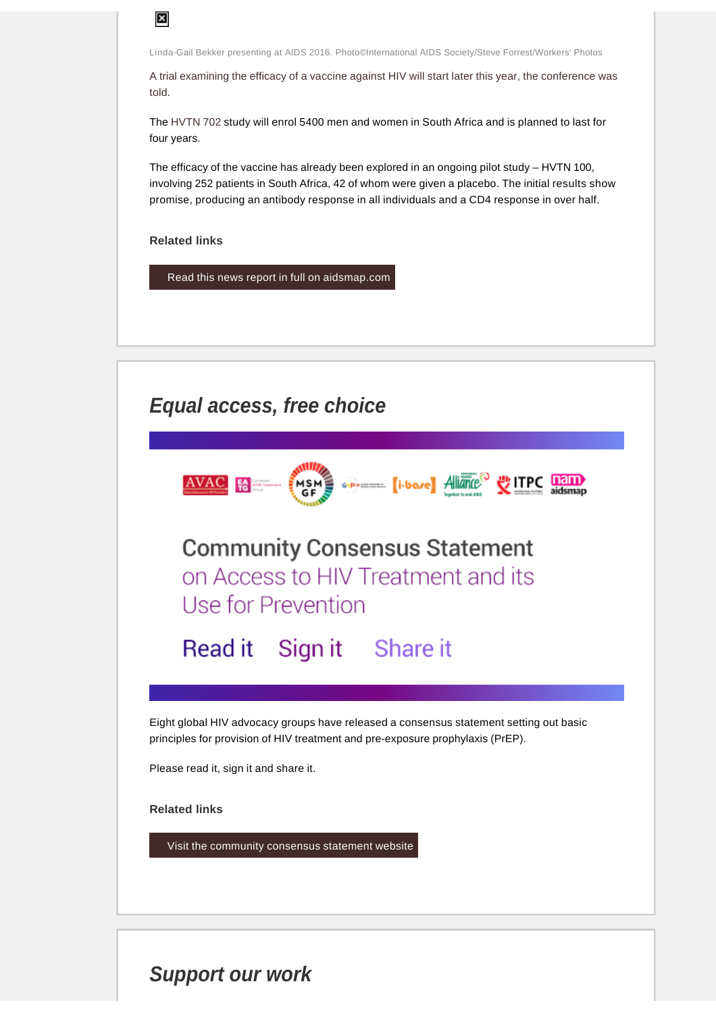Linda-Gail Bekker presenting at AIDS 2016. Photo©International AIDS Society/Steve Forrest/Workers' Photos

[A trial examining the efficacy of a vaccine against HIV will start later this year, the conference was](http://www.aidsmap.com/Its-all-go-for-a-new-HIV-vaccine-efficacy-trial-this-year/page/3072412/)  [told](http://www.aidsmap.com/Its-all-go-for-a-new-HIV-vaccine-efficacy-trial-this-year/page/3072412/).

The [HVTN 702](http://www.avac.org/trial/hvtn-702) study will enrol 5400 men and women in South Africa and is planned to last for four years.

The efficacy of the vaccine has already been explored in an ongoing pilot study – HVTN 100, involving 252 patients in South Africa, 42 of whom were given a placebo. The initial results show promise, producing an antibody response in all individuals and a CD4 response in over half.

**Related links** 

 $\overline{\mathbf{x}}$ 

[Read this news report in full on aidsmap.com](http://www.aidsmap.com/Its-all-go-for-a-new-HIV-vaccine-efficacy-trial-this-year/page/3072412/)



# **Support our work**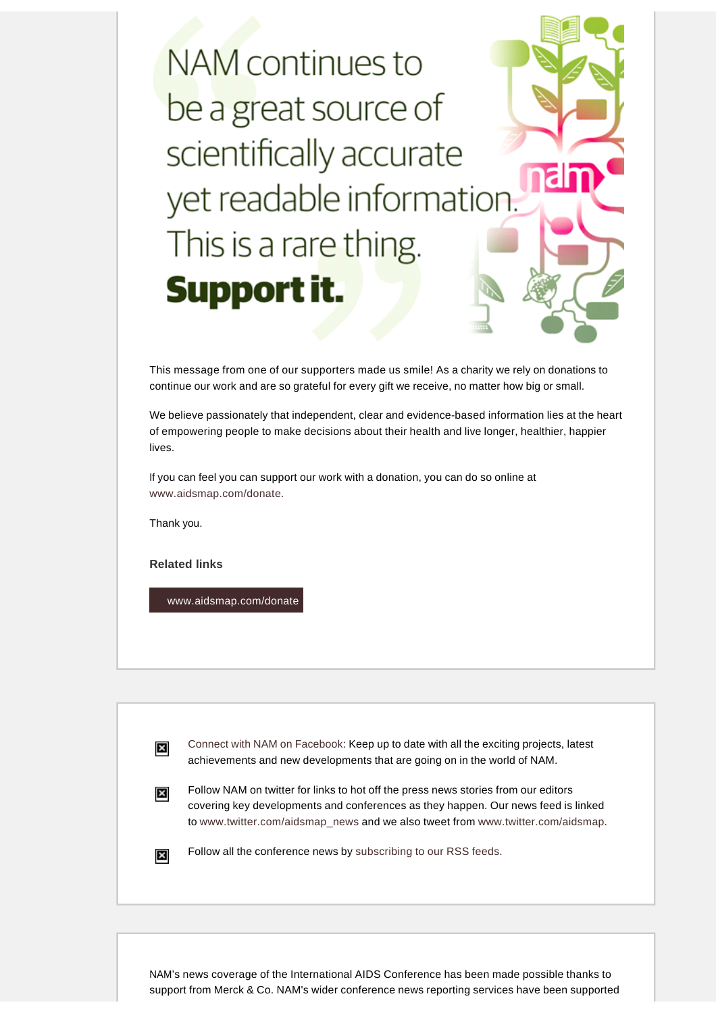NAM continues to be a great source of scientifically accurate yet readable information. This is a rare thing. Support it.

This message from one of our supporters made us smile! As a charity we rely on donations to continue our work and are so grateful for every gift we receive, no matter how big or small.

We believe passionately that independent, clear and evidence-based information lies at the heart of empowering people to make decisions about their health and live longer, healthier, happier lives.

If you can feel you can support our work with a donation, you can do so online at [www.aidsmap.com/donate.](http://www.aidsmap.com/donate)

Thank you.

 $\boldsymbol{\mathsf{x}}$ 

 $\boldsymbol{\times}$ 

**Related links** 

[www.aidsmap.com/donate](http://www.aidsmap.com/donate)

[Connect with NAM on Facebook:](http://www.facebook.com/pages/NAM-the-HIVAIDS-information-charity/99971718192) Keep up to date with all the exciting projects, latest achievements and new developments that are going on in the world of NAM.

Follow NAM on twitter for links to hot off the press news stories from our editors  $\vert x \vert$ covering key developments and conferences as they happen. Our news feed is linked to [www.twitter.com/aidsmap\\_news](http://www.twitter.com/aidsmap_news) and we also tweet from [www.twitter.com/aidsmap](http://www.twitter.com/aidsmap).

Follow all the conference news by [subscribing to our RSS feeds](http://www.aidsmap.com/news/News-feeds/page/1444172/).

NAM's news coverage of the International AIDS Conference has been made possible thanks to support from Merck & Co. NAM's wider conference news reporting services have been supported